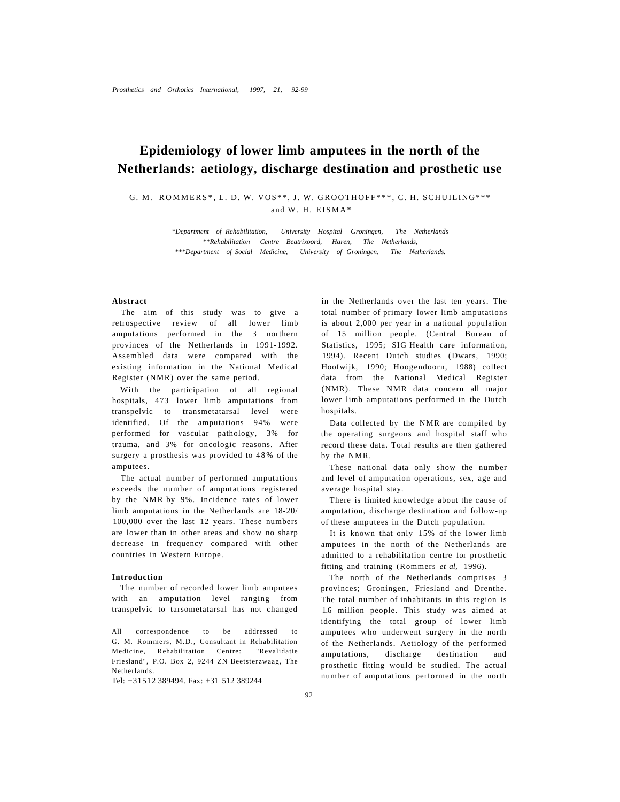# **Epidemiology of lower limb amputees in the north of the Netherlands: aetiology, discharge destination and prosthetic use**

G. M. ROMMERS\*, L. D. W. VOS\*\*, J. W. GROOTHOFF\*\*\*, C. H. SCHUILING\*\*\* and W. H. EISMA\*

> *\*Department of Rehabilitation, University Hospital Groningen, The Netherlands \*\*Rehabilitation Centre Beatrixoord, Haren, The Netherlands, \*\*\*Department of Social Medicine, University of Groningen, The Netherlands.*

### **Abstract**

The aim of this study was to give a retrospective review of all lower limb amputations performed in the 3 northern provinces of the Netherlands in 1991-1992. Assembled data were compared with the existing information in the National Medical Register (NMR) over the same period.

With the participation of all regional hospitals, 473 lower limb amputations from transpelvic to transmetatarsal level were identified. Of the amputations 94% were performed for vascular pathology, 3% for trauma, and 3% for oncologic reasons. After surgery a prosthesis was provided to 48% of the amputees.

The actual number of performed amputations exceeds the number of amputations registered by the NMR by 9%. Incidence rates of lower limb amputations in the Netherlands are 18-20/ 100,000 over the last 12 years. These numbers are lower than in other areas and show no sharp decrease in frequency compared with other countries in Western Europe.

### **Introduction**

The number of recorded lower limb amputees with an amputation level ranging from transpelvic to tarsometatarsal has not changed

All correspondence to be addressed to G. M. Rommers, M.D., Consultant in Rehabilitation Medicine, Rehabilitation Centre: "Revalidatie Friesland", P.O. Box 2, 9244 ZN Beetsterzwaag, The Netherlands.

Tel: +31512 389494. Fax: +31 512 389244

in the Netherlands over the last ten years. The total number of primary lower limb amputations is about 2,000 per year in a national population of 15 million people. (Central Bureau of Statistics, 1995; SIG Health care information, 1994). Recent Dutch studies (Dwars, 1990; Hoofwijk, 1990; Hoogendoorn, 1988) collect data from the National Medical Register (NMR). These NMR data concern all major lower limb amputations performed in the Dutch hospitals.

Data collected by the NMR are compiled by the operating surgeons and hospital staff who record these data. Total results are then gathered by the NMR.

These national data only show the number and level of amputation operations, sex, age and average hospital stay.

There is limited knowledge about the cause of amputation, discharge destination and follow-up of these amputees in the Dutch population.

It is known that only 15% of the lower limb amputees in the north of the Netherlands are admitted to a rehabilitation centre for prosthetic fitting and training (Rommers *et al,* 1996).

The north of the Netherlands comprises 3 provinces; Groningen, Friesland and Drenthe. The total number of inhabitants in this region is 1.6 million people. This study was aimed at identifying the total group of lower limb amputees who underwent surgery in the north of the Netherlands. Aetiology of the performed amputations, discharge destination and prosthetic fitting would be studied. The actual number of amputations performed in the north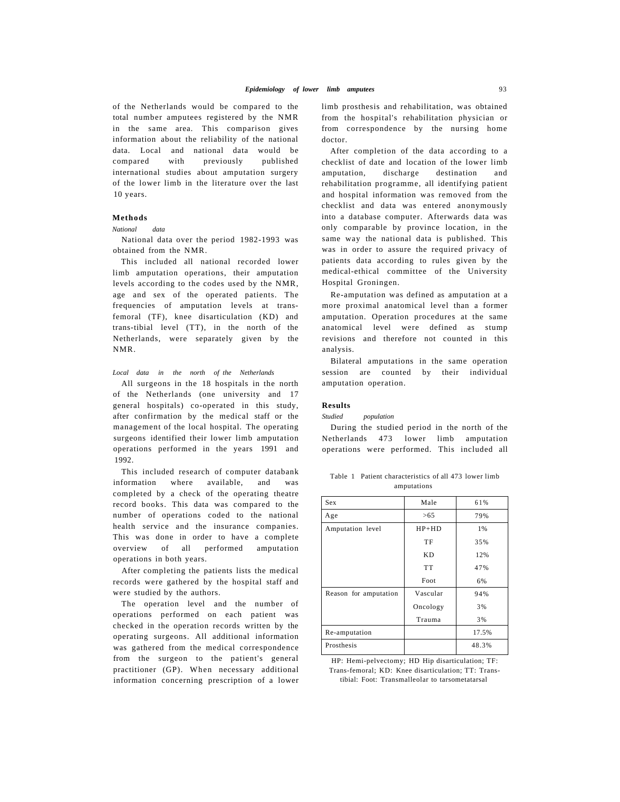of the Netherlands would be compared to the total number amputees registered by the NMR in the same area. This comparison gives information about the reliability of the national data. Local and national data would be compared with previously published international studies about amputation surgery of the lower limb in the literature over the last 10 years.

# **Methods**

## *National data*

National data over the period 1982-1993 was obtained from the NMR.

This included all national recorded lower limb amputation operations, their amputation levels according to the codes used by the NMR, age and sex of the operated patients. The frequencies of amputation levels at transfemoral (TF), knee disarticulation (KD) and trans-tibial level (TT), in the north of the Netherlands, were separately given by the NMR.

*Local data in the north of the Netherlands* 

All surgeons in the 18 hospitals in the north of the Netherlands (one university and 17 general hospitals) co-operated in this study, after confirmation by the medical staff or the management of the local hospital. The operating surgeons identified their lower limb amputation operations performed in the years 1991 and 1992.

This included research of computer databank information where available, and was completed by a check of the operating theatre record books. This data was compared to the number of operations coded to the national health service and the insurance companies. This was done in order to have a complete overview of all performed amputation operations in both years.

After completing the patients lists the medical records were gathered by the hospital staff and were studied by the authors.

The operation level and the number of operations performed on each patient was checked in the operation records written by the operating surgeons. All additional information was gathered from the medical correspondence from the surgeon to the patient's general practitioner (GP). When necessary additional information concerning prescription of a lower limb prosthesis and rehabilitation, was obtained from the hospital's rehabilitation physician or from correspondence by the nursing home doctor.

After completion of the data according to a checklist of date and location of the lower limb amputation, discharge destination and rehabilitation programme, all identifying patient and hospital information was removed from the checklist and data was entered anonymously into a database computer. Afterwards data was only comparable by province location, in the same way the national data is published. This was in order to assure the required privacy of patients data according to rules given by the medical-ethical committee of the University Hospital Groningen.

Re-amputation was defined as amputation at a more proximal anatomical level than a former amputation. Operation procedures at the same anatomical level were defined as stump revisions and therefore not counted in this analysis.

Bilateral amputations in the same operation session are counted by their individual amputation operation.

#### **Results**

*Studied population* 

During the studied period in the north of the Netherlands 473 lower limb amputation operations were performed. This included all

Table 1 Patient characteristics of all 473 lower limb amputations

| Sex                   | Male      | 61%   |
|-----------------------|-----------|-------|
| Age                   | >65       | 79%   |
| Amputation level      | $HP+HD$   | 1%    |
|                       | TF        | 35%   |
|                       | KD.       | 12%   |
|                       | <b>TT</b> | 47%   |
|                       | Foot      | 6%    |
| Reason for amputation | Vascular  | 94%   |
|                       | Oncology  | 3%    |
|                       | Trauma    | 3%    |
| Re-amputation         |           | 17.5% |
| Prosthesis            |           | 48.3% |
|                       |           |       |

HP: Hemi-pelvectomy; HD Hip disarticulation; TF: Trans-femoral; KD: Knee disarticulation; TT: Transtibial: Foot: Transmalleolar to tarsometatarsal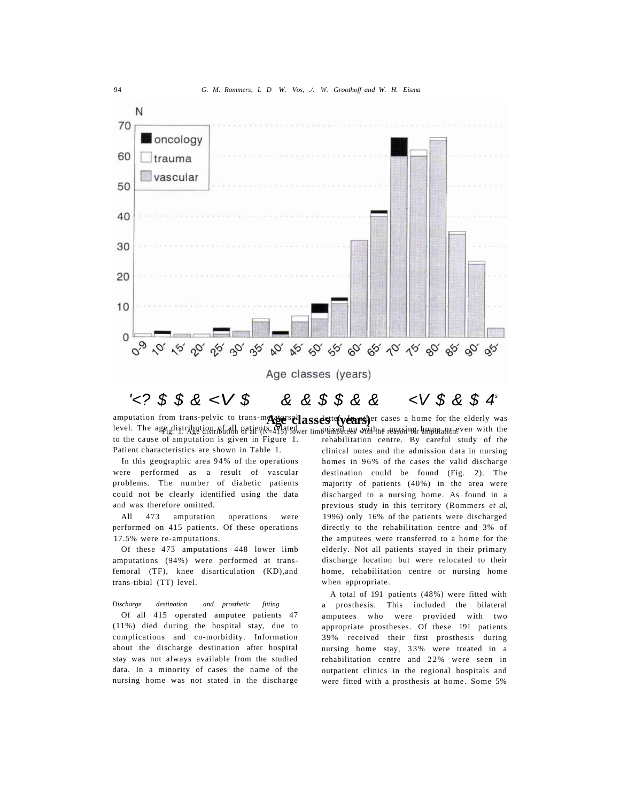

amputation from trans-pelvic to trans-metatorsal assets<sup>tte</sup>(years)<sup> or</sup> cases a home for the elderly was level. The age distribution of all patients af sted to be immixed the with the reason of home and core with the to the cause of amputation is given in Figure 1. Patient characteristics are shown in Table 1. rehabilitation centre. By careful study of the

In this geographic area 94% of the operations were performed as a result of vascular problems. The number of diabetic patients could not be clearly identified using the data and was therefore omitted.

All 473 amputation operations were performed on 415 patients. Of these operations 17.5% were re-amputations.

Of these 473 amputations 448 lower limb amputations (94%) were performed at transfemoral (TF), knee disarticulation (KD),and trans-tibial (TT) level.

*Discharge destination and prosthetic fitting* 

Of all 415 operated amputee patients 47 (11%) died during the hospital stay, due to complications and co-morbidity. Information about the discharge destination after hospital stay was not always available from the studied data. In a minority of cases the name of the nursing home was not stated in the discharge

clinical notes and the admission data in nursing homes in 96% of the cases the valid discharge destination could be found (Fig. 2). The majority of patients (40%) in the area were discharged to a nursing home. As found in a previous study in this territory (Rommers *et al,*  1996) only 16% of the patients were discharged directly to the rehabilitation centre and 3% of the amputees were transferred to a home for the elderly. Not all patients stayed in their primary discharge location but were relocated to their home, rehabilitation centre or nursing home when appropriate.

A total of 191 patients (48%) were fitted with a prosthesis. This included the bilateral amputees who were provided with two appropriate prostheses. Of these 191 patients 39% received their first prosthesis during nursing home stay, 33% were treated in a rehabilitation centre and 22% were seen in outpatient clinics in the regional hospitals and were fitted with a prosthesis at home. Some 5%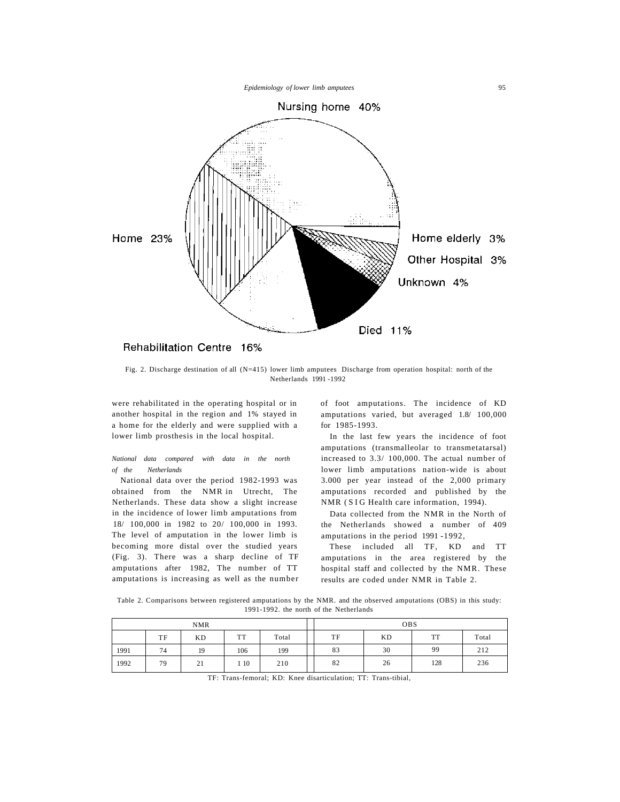

# Rehabilitation Centre 16%

Fig. 2. Discharge destination of all (N=415) lower limb amputees Discharge from operation hospital: north of the Netherlands 1991 -1992

were rehabilitated in the operating hospital or in another hospital in the region and 1% stayed in a home for the elderly and were supplied with a lower limb prosthesis in the local hospital.

*National data compared with data in the north of the Netherlands* 

National data over the period 1982-1993 was obtained from the NMR in Utrecht, The Netherlands. These data show a slight increase in the incidence of lower limb amputations from 18/ 100,000 in 1982 to 20/ 100,000 in 1993. The level of amputation in the lower limb is becoming more distal over the studied years (Fig. 3). There was a sharp decline of TF amputations after 1982, The number of TT amputations is increasing as well as the number

of foot amputations. The incidence of KD amputations varied, but averaged 1.8/ 100,000 for 1985-1993.

In the last few years the incidence of foot amputations (transmalleolar to transmetatarsal) increased to 3.3/ 100,000. The actual number of lower limb amputations nation-wide is about 3.000 per year instead of the 2,000 primary amputations recorded and published by the NMR (SIG Health care information, 1994).

Data collected from the NMR in the North of the Netherlands showed a number of 409 amputations in the period 1991 -1992,

These included all TF, KD and TT amputations in the area registered by the hospital staff and collected by the NMR. These results are coded under NMR in Table 2.

Table 2. Comparisons between registered amputations by the NMR. and the observed amputations (OBS) in this study: 1991-1992. the north of the Netherlands

| <b>NMR</b> |    |           | <b>OBS</b> |       |    |           |           |       |
|------------|----|-----------|------------|-------|----|-----------|-----------|-------|
|            | TF | <b>KD</b> | <b>TT</b>  | Total | TF | <b>KD</b> | <b>TT</b> | Total |
| 1991       | 74 | 19        | 106        | 199   | 83 | 30        | 99        | 212   |
| 1992       | 79 | 21        | 10         | 210   | 82 | 26        | 128       | 236   |

TF: Trans-femoral; KD: Knee disarticulation; TT: Trans-tibial,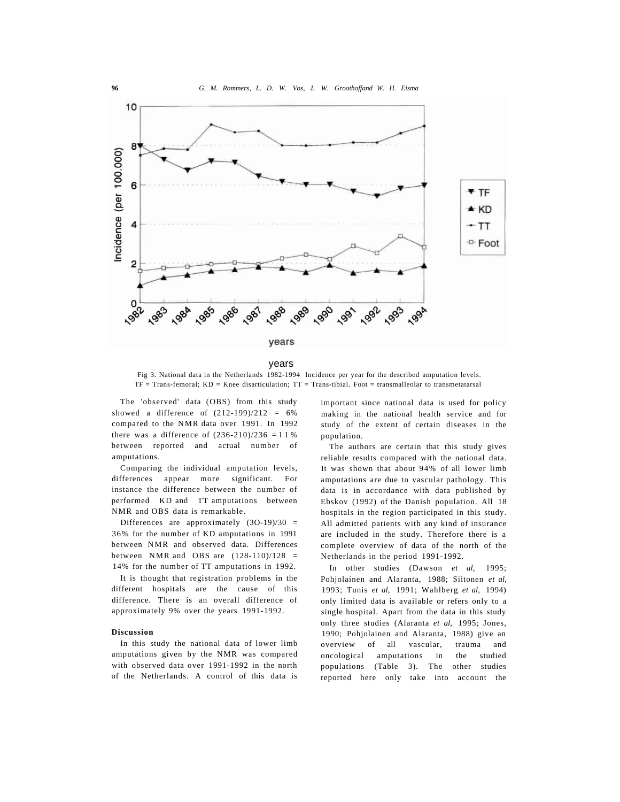

years

Fig 3. National data in the Netherlands 1982-1994 Incidence per year for the described amputation levels. TF = Trans-femoral; KD = Knee disarticulation; TT = Trans-tibial. Foot = transmalleolar to transmetatarsal

The 'observed' data (OBS) from this study showed a difference of  $(212-199)/212 = 6%$ compared to the NMR data over 1991. In 1992 there was a difference of  $(236-210)/236 = 11\%$ between reported and actual number of amputations.

Comparing the individual amputation levels, differences appear more significant. For instance the difference between the number of performed KD and TT amputations between NMR and OBS data is remarkable.

Differences are approximately (3O-19)/30 = 36% for the number of KD amputations in 1991 between NMR and observed data. Differences between NMR and OBS are  $(128-110)/128$  = 14% for the number of TT amputations in 1992.

It is thought that registration problems in the different hospitals are the cause of this difference. There is an overall difference of approximately 9% over the years 1991-1992.

### **Discussion**

In this study the national data of lower limb amputations given by the NMR was compared with observed data over 1991-1992 in the north of the Netherlands. A control of this data is important since national data is used for policy making in the national health service and for study of the extent of certain diseases in the population.

The authors are certain that this study gives reliable results compared with the national data. It was shown that about 94% of all lower limb amputations are due to vascular pathology. This data is in accordance with data published by Ebskov (1992) of the Danish population. All 18 hospitals in the region participated in this study. All admitted patients with any kind of insurance are included in the study. Therefore there is a complete overview of data of the north of the Netherlands in the period 1991-1992.

In other studies (Dawson *et al,* 1995; Pohjolainen and Alaranta, 1988; Siitonen *et al,*  1993; Tunis *et al,* 1991; Wahlberg *et al,* 1994) only limited data is available or refers only to a single hospital. Apart from the data in this study only three studies (Alaranta *et al,* 1995; Jones, 1990; Pohjolainen and Alaranta, 1988) give an overview of all vascular, trauma and oncological amputations in the studied populations (Table 3). The other studies reported here only take into account the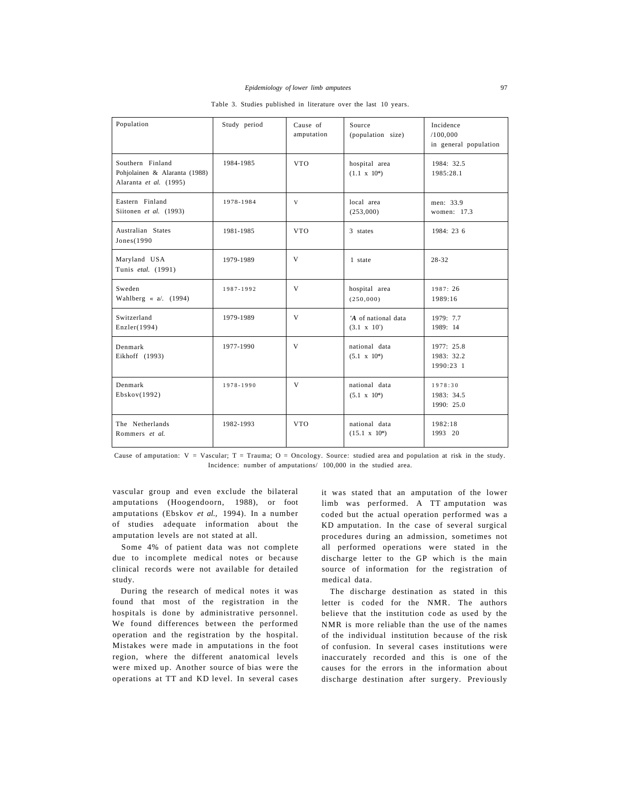Table 3. Studies published in literature over the last 10 years.

| Population                                                                  | Study period | Cause of<br>amputation | Source<br>(population size)                      | Incidence<br>/100,000<br>in general population |
|-----------------------------------------------------------------------------|--------------|------------------------|--------------------------------------------------|------------------------------------------------|
| Southern Finland<br>Pohjolainen & Alaranta (1988)<br>Alaranta et al. (1995) | 1984-1985    | <b>VTO</b>             | hospital area<br>$(1.1 \times 10^*)$             | 1984: 32.5<br>1985:28.1                        |
| Eastern Finland<br>Siitonen et al. (1993)                                   | 1978-1984    | V                      | local area<br>(253,000)                          | men: 33.9<br>women: 17.3                       |
| Australian States<br>Jones(1990)                                            | 1981-1985    | <b>VTO</b>             | 3 states                                         | 1984: 23 6                                     |
| Maryland USA<br>Tunis etal. (1991)                                          | 1979-1989    | V                      | 1 state                                          | $28 - 32$                                      |
| Sweden<br>Wahlberg $\ll$ a/. (1994)                                         | 1987-1992    | V                      | hospital area<br>(250,000)                       | 1987: 26<br>1989:16                            |
| Switzerland<br>Enzler(1994)                                                 | 1979-1989    | V                      | 'A of national data<br>$(3.1 \times 10^{\circ})$ | 1979: 7.7<br>1989: 14                          |
| Denmark<br>Eikhoff (1993)                                                   | 1977-1990    | $\mathbf{V}$           | national data<br>$(5.1 \times 10^*)$             | 1977: 25.8<br>1983: 32.2<br>1990:23 1          |
| Denmark<br>Ebskov(1992)                                                     | 1978-1990    | V                      | national data<br>$(5.1 \times 10^*)$             | 1978:30<br>1983: 34.5<br>1990: 25.0            |
| The Netherlands<br>Rommers et al.                                           | 1982-1993    | <b>VTO</b>             | national data<br>$(15.1 \times 10^*)$            | 1982:18<br>1993 20                             |

Cause of amputation:  $V = V$ ascular; T = Trauma; O = Oncology. Source: studied area and population at risk in the study. Incidence: number of amputations/ 100,000 in the studied area.

vascular group and even exclude the bilateral amputations (Hoogendoorn, 1988), or foot amputations (Ebskov *et al.,* 1994). In a number of studies adequate information about the amputation levels are not stated at all.

Some 4% of patient data was not complete due to incomplete medical notes or because clinical records were not available for detailed study.

During the research of medical notes it was found that most of the registration in the hospitals is done by administrative personnel. We found differences between the performed operation and the registration by the hospital. Mistakes were made in amputations in the foot region, where the different anatomical levels were mixed up. Another source of bias were the operations at TT and KD level. In several cases it was stated that an amputation of the lower limb was performed. A TT amputation was coded but the actual operation performed was a KD amputation. In the case of several surgical procedures during an admission, sometimes not all performed operations were stated in the discharge letter to the GP which is the main source of information for the registration of medical data.

The discharge destination as stated in this letter is coded for the NMR. The authors believe that the institution code as used by the NMR is more reliable than the use of the names of the individual institution because of the risk of confusion. In several cases institutions were inaccurately recorded and this is one of the causes for the errors in the information about discharge destination after surgery. Previously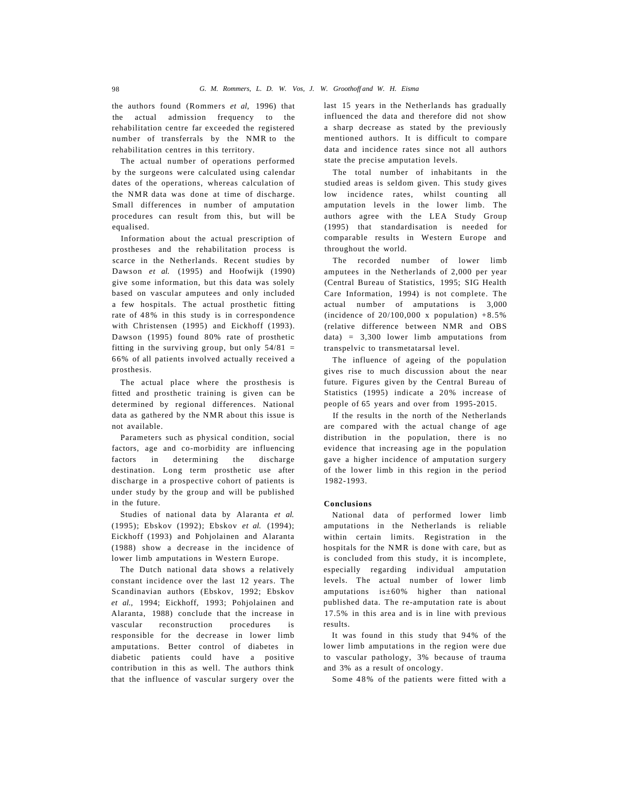the authors found (Rommers *et al,* 1996) that the actual admission frequency to the rehabilitation centre far exceeded the registered number of transferrals by the NMR to the rehabilitation centres in this territory.

The actual number of operations performed by the surgeons were calculated using calendar dates of the operations, whereas calculation of the NMR data was done at time of discharge. Small differences in number of amputation procedures can result from this, but will be equalised.

Information about the actual prescription of prostheses and the rehabilitation process is scarce in the Netherlands. Recent studies by Dawson *et al.* (1995) and Hoofwijk (1990) give some information, but this data was solely based on vascular amputees and only included a few hospitals. The actual prosthetic fitting rate of 48% in this study is in correspondence with Christensen (1995) and Eickhoff (1993). Dawson (1995) found 80% rate of prosthetic fitting in the surviving group, but only  $54/81 =$ 66% of all patients involved actually received a prosthesis.

The actual place where the prosthesis is fitted and prosthetic training is given can be determined by regional differences. National data as gathered by the NMR about this issue is not available.

Parameters such as physical condition, social factors, age and co-morbidity are influencing factors in determining the discharge destination. Long term prosthetic use after discharge in a prospective cohort of patients is under study by the group and will be published in the future.

Studies of national data by Alaranta *et al.*  (1995); Ebskov (1992); Ebskov *et al.* (1994); Eickhoff (1993) and Pohjolainen and Alaranta (1988) show a decrease in the incidence of lower limb amputations in Western Europe.

The Dutch national data shows a relatively constant incidence over the last 12 years. The Scandinavian authors (Ebskov, 1992; Ebskov *et al.,* 1994; Eickhoff, 1993; Pohjolainen and Alaranta, 1988) conclude that the increase in vascular reconstruction procedures is responsible for the decrease in lower limb amputations. Better control of diabetes in diabetic patients could have a positive contribution in this as well. The authors think that the influence of vascular surgery over the

last 15 years in the Netherlands has gradually influenced the data and therefore did not show a sharp decrease as stated by the previously mentioned authors. It is difficult to compare data and incidence rates since not all authors state the precise amputation levels.

The total number of inhabitants in the studied areas is seldom given. This study gives low incidence rates, whilst counting all amputation levels in the lower limb. The authors agree with the LEA Study Group (1995) that standardisation is needed for comparable results in Western Europe and throughout the world.

The recorded number of lower limb amputees in the Netherlands of 2,000 per year (Central Bureau of Statistics, 1995; SIG Health Care Information, 1994) is not complete. The actual number of amputations is 3,000 (incidence of  $20/100,000 \text{ x population}$ ) +8.5% (relative difference between NMR and OBS data) = 3,300 lower limb amputations from transpelvic to transmetatarsal level.

The influence of ageing of the population gives rise to much discussion about the near future. Figures given by the Central Bureau of Statistics (1995) indicate a 20% increase of people of 65 years and over from 1995-2015.

If the results in the north of the Netherlands are compared with the actual change of age distribution in the population, there is no evidence that increasing age in the population gave a higher incidence of amputation surgery of the lower limb in this region in the period 1982-1993.

# **Conclusions**

National data of performed lower limb amputations in the Netherlands is reliable within certain limits. Registration in the hospitals for the NMR is done with care, but as is concluded from this study, it is incomplete, especially regarding individual amputation levels. The actual number of lower limb amputations is±60% higher than national published data. The re-amputation rate is about 17.5% in this area and is in line with previous results.

It was found in this study that 94% of the lower limb amputations in the region were due to vascular pathology, 3% because of trauma and 3% as a result of oncology.

Some 48 % of the patients were fitted with a